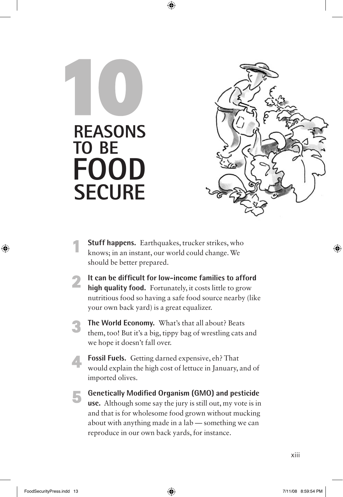## **Reasons to be Food Secure 10**



- **Stuff happens.** Earthquakes, trucker strikes, who knows; in an instant, our world could change. We should be better prepared.
- **2 It can be difficult for low-income families to afford high quality food.** Fortunately, it costs little to grow nutritious food so having a safe food source nearby (like your own back yard) is a great equalizer.
	- **3 The World Economy.** What's that all about? Beats them, too! But it's a big, tippy bag of wrestling cats and we hope it doesn't fall over.
		- **4 Fossil Fuels.** Getting darned expensive, eh? That would explain the high cost of lettuce in January, and of imported olives.
	- **5 Genetically Modified Organism (GMO) and pesticide use.** Although some say the jury is still out, my vote is in and that is for wholesome food grown without mucking about with anything made in a lab — something we can reproduce in our own back yards, for instance.